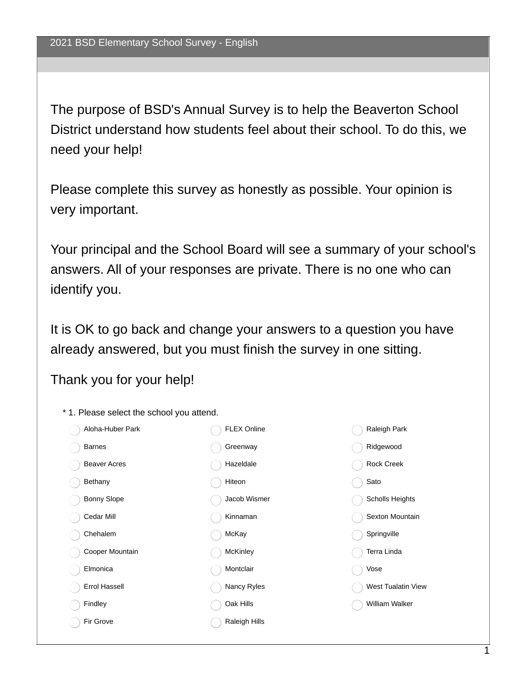The purpose of BSD's Annual Survey is to help the Beaverton School District understand how students feel about their school. To do this, we need your help!

Please complete this survey as honestly as possible. Your opinion is very important.

Your principal and the School Board will see a summary of your school's answers. All of your responses are private. There is no one who can identify you.

It is OK to go back and change your answers to a question you have already answered, but you must finish the survey in one sitting.

Thank you for your help!

\* 1. Please select the school you attend. Aloha-Huber Park Barnes Beaver Acres Bethany Bonny Slope Cedar Mill Chehalem Cooper Mountain Elmonica Errol Hassell Findley Fir Grove FLEX Online Greenway Hazeldale Hiteon Jacob Wismer Kinnaman McKay **McKinley** Montclair Nancy Ryles Oak Hills Raleigh Hills Raleigh Park Ridgewood Rock Creek Sato Scholls Heights Sexton Mountain **Springville** Terra Linda Vose West Tualatin View William Walker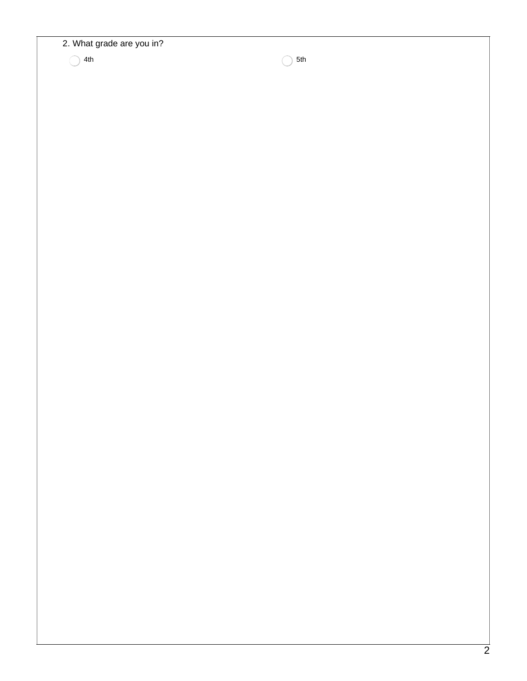## 2. What grade are you in?

 $4th$  5th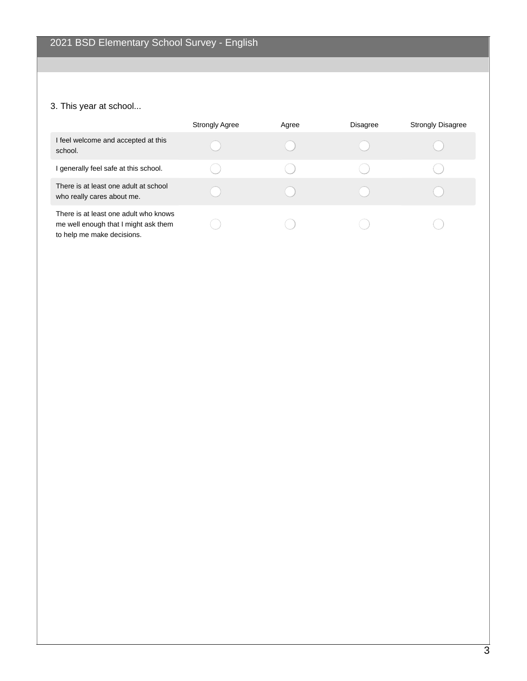# 3. This year at school...

|                                                                                                             | <b>Strongly Agree</b> | Agree | Disagree | <b>Strongly Disagree</b> |
|-------------------------------------------------------------------------------------------------------------|-----------------------|-------|----------|--------------------------|
| I feel welcome and accepted at this<br>school.                                                              |                       |       |          |                          |
| I generally feel safe at this school.                                                                       |                       |       |          |                          |
| There is at least one adult at school<br>who really cares about me.                                         |                       |       |          |                          |
| There is at least one adult who knows<br>me well enough that I might ask them<br>to help me make decisions. |                       |       |          |                          |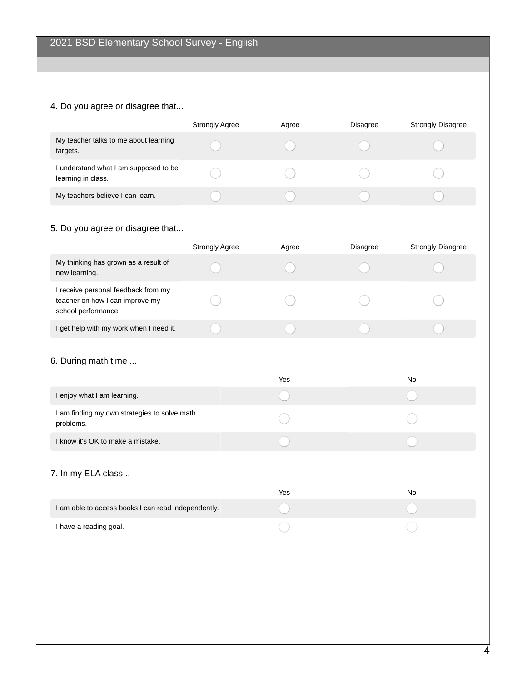# 4. Do you agree or disagree that...

|                                                             | <b>Strongly Agree</b> | Agree | <b>Disagree</b> | <b>Strongly Disagree</b> |
|-------------------------------------------------------------|-----------------------|-------|-----------------|--------------------------|
| My teacher talks to me about learning<br>targets.           |                       |       |                 |                          |
| I understand what I am supposed to be<br>learning in class. |                       |       |                 |                          |
| My teachers believe I can learn.                            |                       |       |                 |                          |

# 5. Do you agree or disagree that...

|                                                                                               | <b>Strongly Agree</b> | Agree | <b>Disagree</b> | <b>Strongly Disagree</b> |
|-----------------------------------------------------------------------------------------------|-----------------------|-------|-----------------|--------------------------|
| My thinking has grown as a result of<br>new learning.                                         |                       |       |                 |                          |
| I receive personal feedback from my<br>teacher on how I can improve my<br>school performance. |                       |       |                 |                          |
| I get help with my work when I need it.                                                       |                       |       |                 |                          |

#### 6. During math time ...

|                                                           | Yes | No |
|-----------------------------------------------------------|-----|----|
| I enjoy what I am learning.                               |     |    |
| I am finding my own strategies to solve math<br>problems. |     |    |
| I know it's OK to make a mistake.                         |     |    |
| 7. In my ELA class                                        | Yes | No |
| I am able to access books I can read independently.       |     |    |

 $\bigcirc$ 

I have a reading goal.

 $\bigcirc$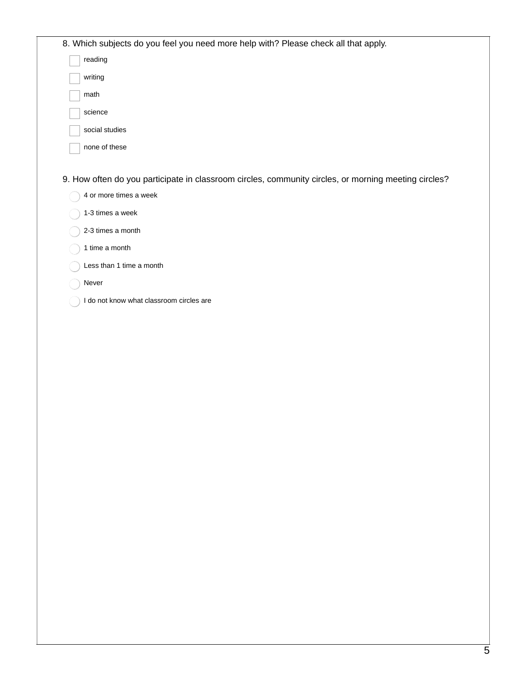| 8. Which subjects do you feel you need more help with? Please check all that apply.                  |  |
|------------------------------------------------------------------------------------------------------|--|
| reading                                                                                              |  |
| writing                                                                                              |  |
| math                                                                                                 |  |
| science                                                                                              |  |
| social studies                                                                                       |  |
| none of these                                                                                        |  |
|                                                                                                      |  |
| 9. How often do you participate in classroom circles, community circles, or morning meeting circles? |  |
| 4 or more times a week                                                                               |  |
| 1-3 times a week                                                                                     |  |
| 2-3 times a month                                                                                    |  |
| 1 time a month                                                                                       |  |
| Less than 1 time a month                                                                             |  |
| Never                                                                                                |  |
| I do not know what classroom circles are                                                             |  |
|                                                                                                      |  |
|                                                                                                      |  |
|                                                                                                      |  |
|                                                                                                      |  |
|                                                                                                      |  |
|                                                                                                      |  |
|                                                                                                      |  |
|                                                                                                      |  |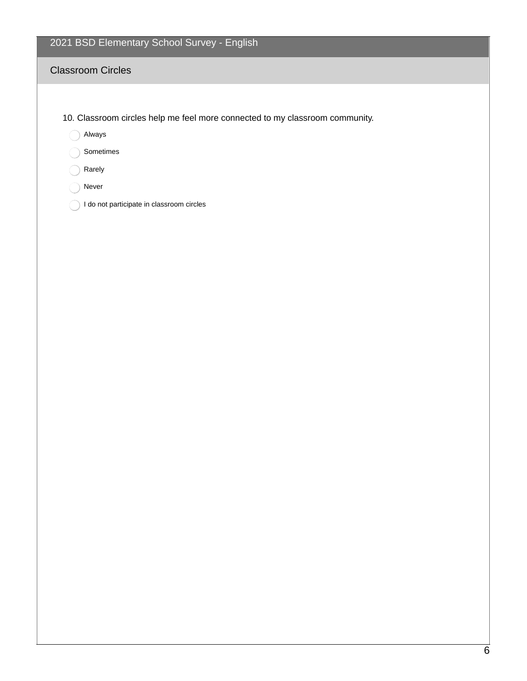# 2021 BSD Elementary School Survey - English

## Classroom Circles

- 10. Classroom circles help me feel more connected to my classroom community.
	- Always
	- Sometimes
	- Rarely
	- ◯ Never
	- ◯ I do not participate in classroom circles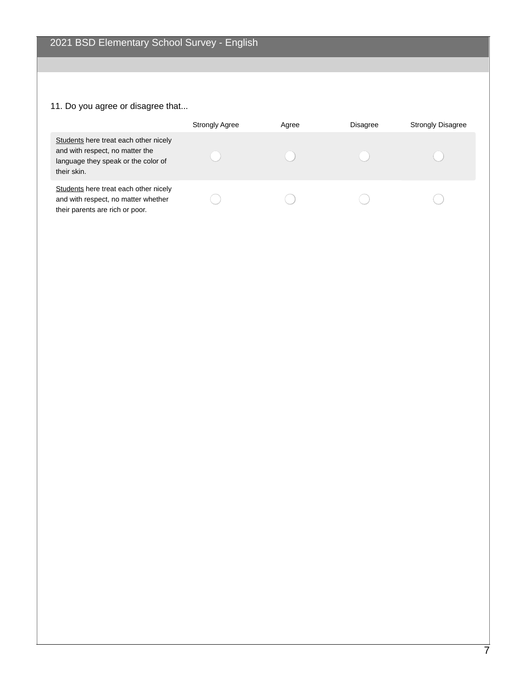# 11. Do you agree or disagree that...

|                                                                                                                                | <b>Strongly Agree</b> | Agree | Disagree | <b>Strongly Disagree</b> |
|--------------------------------------------------------------------------------------------------------------------------------|-----------------------|-------|----------|--------------------------|
| Students here treat each other nicely<br>and with respect, no matter the<br>language they speak or the color of<br>their skin. |                       |       |          |                          |
| Students here treat each other nicely<br>and with respect, no matter whether<br>their parents are rich or poor.                |                       |       |          |                          |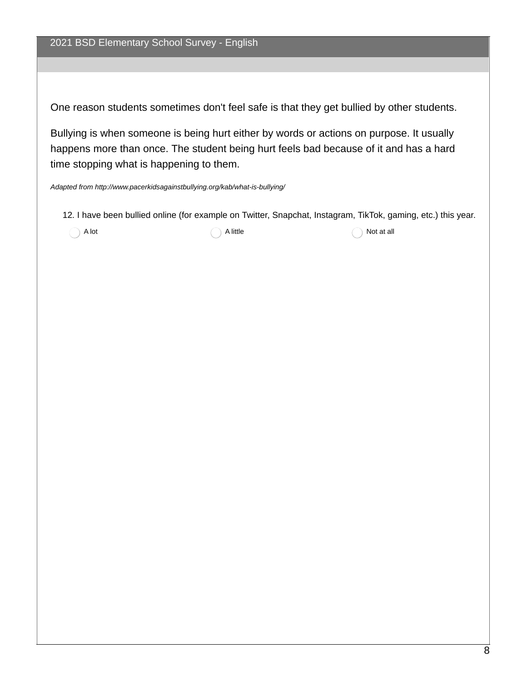One reason students sometimes don't feel safe is that they get bullied by other students.

Bullying is when someone is being hurt either by words or actions on purpose. It usually happens more than once. The student being hurt feels bad because of it and has a hard time stopping what is happening to them.

*Adapted from http://www.pacerkidsagainstbullying.org/kab/what-is-bullying/*

12. I have been bullied online (for example on Twitter, Snapchat, Instagram, TikTok, gaming, etc.) this year.

 $\bigcap$  A lot at all  $\bigcap$  A little  $\bigcap$  A lot at all  $\bigcap$  A lot at all  $\bigcap$  A lot at all  $\bigcap$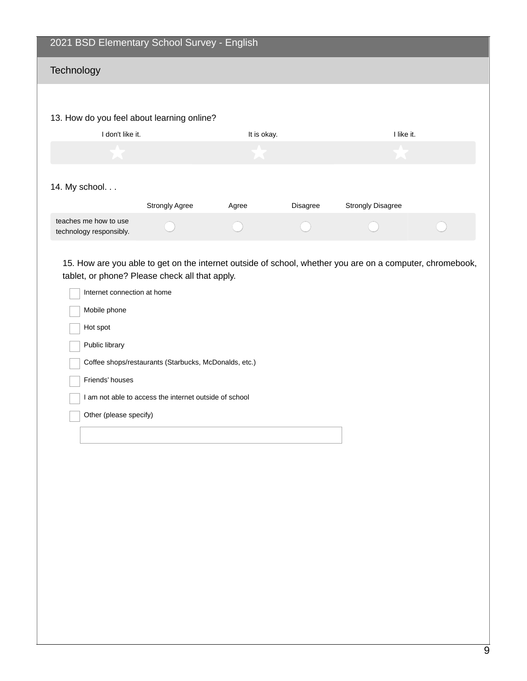# 2021 BSD Elementary School Survey - English **Technology** 13. How do you feel about learning online? I don't like it. I like it. I like it. 14. My school. . . Strongly Agree Agree Agree Disagree Strongly Disagree teaches me how to use  $\bigcirc$  $\bigcirc$ technology responsibly.

15. How are you able to get on the internet outside of school, whether you are on a computer, chromebook, tablet, or phone? Please check all that apply.

| Internet connection at home                            |
|--------------------------------------------------------|
| Mobile phone                                           |
| Hot spot                                               |
| Public library                                         |
| Coffee shops/restaurants (Starbucks, McDonalds, etc.)  |
| Friends' houses                                        |
| I am not able to access the internet outside of school |
| Other (please specify)                                 |
|                                                        |
|                                                        |